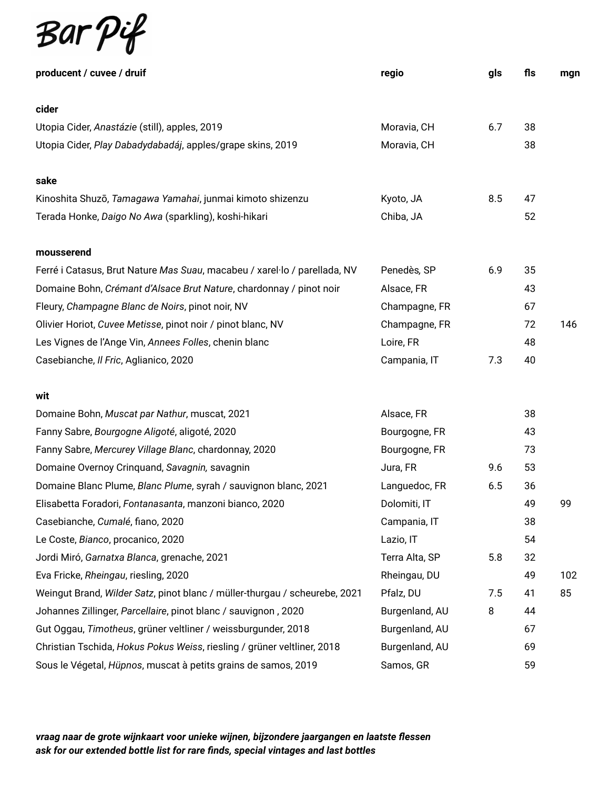

| producent / cuvee / druif                                                  | regio          | gls | fls | mgn |
|----------------------------------------------------------------------------|----------------|-----|-----|-----|
| cider                                                                      |                |     |     |     |
|                                                                            |                | 6.7 | 38  |     |
| Utopia Cider, Anastázie (still), apples, 2019                              | Moravia, CH    |     |     |     |
| Utopia Cider, Play Dabadydabadáj, apples/grape skins, 2019                 | Moravia, CH    |     | 38  |     |
| sake                                                                       |                |     |     |     |
| Kinoshita Shuzō, Tamagawa Yamahai, junmai kimoto shizenzu                  | Kyoto, JA      | 8.5 | 47  |     |
| Terada Honke, Daigo No Awa (sparkling), koshi-hikari                       | Chiba, JA      |     | 52  |     |
| mousserend                                                                 |                |     |     |     |
| Ferré i Catasus, Brut Nature Mas Suau, macabeu / xarel·lo / parellada, NV  | Penedès, SP    | 6.9 | 35  |     |
| Domaine Bohn, Crémant d'Alsace Brut Nature, chardonnay / pinot noir        | Alsace, FR     |     | 43  |     |
| Fleury, Champagne Blanc de Noirs, pinot noir, NV                           | Champagne, FR  |     | 67  |     |
| Olivier Horiot, Cuvee Metisse, pinot noir / pinot blanc, NV                | Champagne, FR  |     | 72  | 146 |
| Les Vignes de l'Ange Vin, Annees Folles, chenin blanc                      | Loire, FR      |     | 48  |     |
| Casebianche, Il Fric, Aglianico, 2020                                      | Campania, IT   | 7.3 | 40  |     |
|                                                                            |                |     |     |     |
| wit                                                                        |                |     |     |     |
| Domaine Bohn, Muscat par Nathur, muscat, 2021                              | Alsace, FR     |     | 38  |     |
| Fanny Sabre, Bourgogne Aligoté, aligoté, 2020                              | Bourgogne, FR  |     | 43  |     |
| Fanny Sabre, Mercurey Village Blanc, chardonnay, 2020                      | Bourgogne, FR  |     | 73  |     |
| Domaine Overnoy Crinquand, Savagnin, savagnin                              | Jura, FR       | 9.6 | 53  |     |
| Domaine Blanc Plume, Blanc Plume, syrah / sauvignon blanc, 2021            | Languedoc, FR  | 6.5 | 36  |     |
| Elisabetta Foradori, Fontanasanta, manzoni bianco, 2020                    | Dolomiti, IT   |     | 49  | 99  |
| Casebianche, Cumalé, fiano, 2020                                           | Campania, IT   |     | 38  |     |
| Le Coste, Bianco, procanico, 2020                                          | Lazio, IT      |     | 54  |     |
| Jordi Miró, Garnatxa Blanca, grenache, 2021                                | Terra Alta, SP | 5.8 | 32  |     |
| Eva Fricke, Rheingau, riesling, 2020                                       | Rheingau, DU   |     | 49  | 102 |
| Weingut Brand, Wilder Satz, pinot blanc / müller-thurgau / scheurebe, 2021 | Pfalz, DU      | 7.5 | 41  | 85  |
| Johannes Zillinger, Parcellaire, pinot blanc / sauvignon, 2020             | Burgenland, AU | 8   | 44  |     |
| Gut Oggau, Timotheus, grüner veltliner / weissburgunder, 2018              | Burgenland, AU |     | 67  |     |
| Christian Tschida, Hokus Pokus Weiss, riesling / grüner veltliner, 2018    | Burgenland, AU |     | 69  |     |
| Sous le Végetal, Hüpnos, muscat à petits grains de samos, 2019             | Samos, GR      |     | 59  |     |